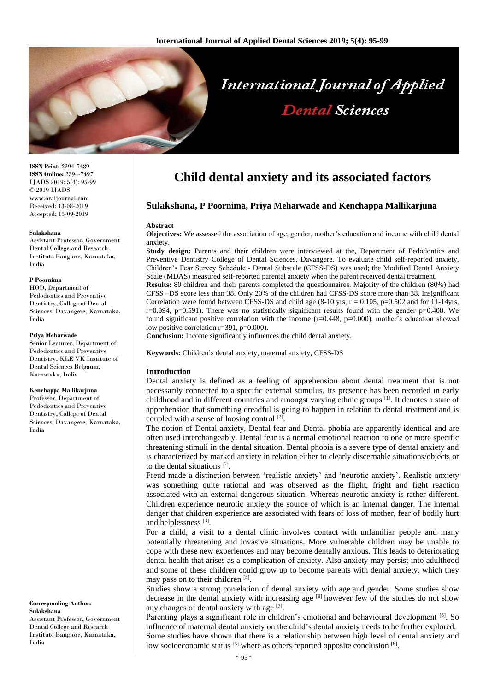

**ISSN Print:** 2394-7489 **ISSN Online:** 2394-7497 IJADS 2019; 5(4): 95-99 © 2019 IJADS www.oraljournal.com Received: 13-08-2019 Accepted: 15-09-2019

### **Sulakshana**

Assistant Professor, Government Dental College and Research Institute Banglore, Karnataka, India

#### **P Poornima**

HOD, Department of Pedodontics and Preventive Dentistry, College of Dental Sciences, Davangere, Karnataka, India

#### **Priya Meharwade**

Senior Lecturer, Department of Pedodontics and Preventive Dentistry, KLE VK Institute of Dental Sciences Belgaum, Karnataka, India

## **Kenchappa Mallikarjuna**

Professor, Department of Pedodontics and Preventive Dentistry, College of Dental Sciences, Davangere, Karnataka, India

### **Corresponding Author: Sulakshana**

Assistant Professor, Government Dental College and Research Institute Banglore, Karnataka, India

# **Child dental anxiety and its associated factors**

# **Sulakshana, P Poornima, Priya Meharwade and Kenchappa Mallikarjuna**

## **Abstract**

**Objectives:** We assessed the association of age, gender, mother's education and income with child dental anxiety.

**Study design:** Parents and their children were interviewed at the, Department of Pedodontics and Preventive Dentistry College of Dental Sciences, Davangere. To evaluate child self-reported anxiety, Children's Fear Survey Schedule - Dental Subscale (CFSS-DS) was used; the Modified Dental Anxiety Scale (MDAS) measured self-reported parental anxiety when the parent received dental treatment.

**Results:** 80 children and their parents completed the questionnaires. Majority of the children (80%) had CFSS –DS score less than 38. Only 20% of the children had CFSS-DS score more than 38. Insignificant Correlation were found between CFSS-DS and child age  $(8-10 \text{ yrs}, r = 0.105, p=0.502 \text{ and for } 11-14\text{ yrs},$ r=0.094, p=0.591). There was no statistically significant results found with the gender p=0.408. We found significant positive correlation with the income (r=0.448, p=0.000), mother's education showed low positive correlation r=391, p=0.000).

**Conclusion:** Income significantly influences the child dental anxiety.

**Keywords:** Children's dental anxiety, maternal anxiety, CFSS-DS

## **Introduction**

Dental anxiety is defined as a feeling of apprehension about dental treatment that is not necessarily connected to a specific external stimulus. Its presence has been recorded in early childhood and in different countries and amongst varying ethnic groups<sup>[1]</sup>. It denotes a state of apprehension that something dreadful is going to happen in relation to dental treatment and is coupled with a sense of loosing control<sup>[2]</sup>.

The notion of Dental anxiety, Dental fear and Dental phobia are apparently identical and are often used interchangeably. Dental fear is a normal emotional reaction to one or more specific threatening stimuli in the dental situation. Dental phobia is a severe type of dental anxiety and is characterized by marked anxiety in relation either to clearly discernable situations/objects or to the dental situations [2] .

Freud made a distinction between 'realistic anxiety' and 'neurotic anxiety'. Realistic anxiety was something quite rational and was observed as the flight, fright and fight reaction associated with an external dangerous situation. Whereas neurotic anxiety is rather different. Children experience neurotic anxiety the source of which is an internal danger. The internal danger that children experience are associated with fears of loss of mother, fear of bodily hurt and helplessness [3].

For a child, a visit to a dental clinic involves contact with unfamiliar people and many potentially threatening and invasive situations. More vulnerable children may be unable to cope with these new experiences and may become dentally anxious. This leads to deteriorating dental health that arises as a complication of anxiety. Also anxiety may persist into adulthood and some of these children could grow up to become parents with dental anxiety, which they may pass on to their children [4].

Studies show a strong correlation of dental anxiety with age and gender. Some studies show decrease in the dental anxiety with increasing age <sup>[8]</sup> however few of the studies do not show any changes of dental anxiety with age [7].

Parenting plays a significant role in children's emotional and behavioural development <sup>[6]</sup>. So influence of maternal dental anxiety on the child's dental anxiety needs to be further explored. Some studies have shown that there is a relationship between high level of dental anxiety and low socioeconomic status [5] where as others reported opposite conclusion [8].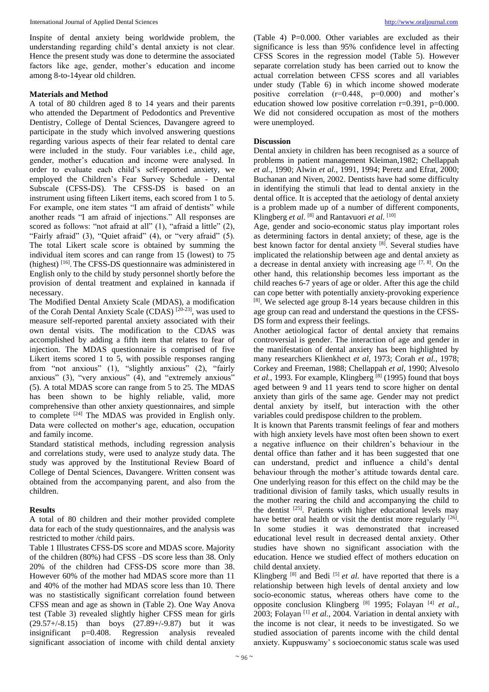Inspite of dental anxiety being worldwide problem, the understanding regarding child's dental anxiety is not clear. Hence the present study was done to determine the associated factors like age, gender, mother's education and income among 8-to-14year old children.

# **Materials and Method**

A total of 80 children aged 8 to 14 years and their parents who attended the Department of Pedodontics and Preventive Dentistry, College of Dental Sciences, Davangere agreed to participate in the study which involved answering questions regarding various aspects of their fear related to dental care were included in the study. Four variables i.e., child age, gender, mother's education and income were analysed. In order to evaluate each child's self-reported anxiety, we employed the Children's Fear Survey Schedule - Dental Subscale (CFSS-DS). The CFSS-DS is based on an instrument using fifteen Likert items, each scored from 1 to 5. For example, one item states "I am afraid of dentists" while another reads "I am afraid of injections." All responses are scored as follows: "not afraid at all" (1), "afraid a little" (2), "Fairly afraid" (3), "Quiet afraid" (4), or "very afraid" (5). The total Likert scale score is obtained by summing the individual item scores and can range from 15 (lowest) to 75 (highest)<sup>[16]</sup>. The CFSS-DS questionnaire was administered in English only to the child by study personnel shortly before the provision of dental treatment and explained in kannada if necessary.

The Modified Dental Anxiety Scale (MDAS), a modification of the Corah Dental Anxiety Scale (CDAS) [20-23] , was used to measure self-reported parental anxiety associated with their own dental visits. The modification to the CDAS was accomplished by adding a fifth item that relates to fear of injection. The MDAS questionnaire is comprised of five Likert items scored 1 to 5, with possible responses ranging from "not anxious" (1), "slightly anxious" (2), "fairly anxious" (3), "very anxious" (4), and "extremely anxious" (5). A total MDAS score can range from 5 to 25. The MDAS has been shown to be highly reliable, valid, more comprehensive than other anxiety questionnaires, and simple to complete [24] The MDAS was provided in English only. Data were collected on mother's age, education, occupation and family income.

Standard statistical methods, including regression analysis and correlations study, were used to analyze study data. The study was approved by the Institutional Review Board of College of Dental Sciences, Davangere. Written consent was obtained from the accompanying parent, and also from the children.

# **Results**

A total of 80 children and their mother provided complete data for each of the study questionnaires, and the analysis was restricted to mother /child pairs.

Table 1 Illustrates CFSS-DS score and MDAS score. Majority of the children (80%) had CFSS –DS score less than 38. Only 20% of the children had CFSS-DS score more than 38. However 60% of the mother had MDAS score more than 11 and 40% of the mother had MDAS score less than 10. There was no stastistically significant correlation found between CFSS mean and age as shown in (Table 2). One Way Anova test (Table 3) revealed slightly higher CFSS mean for girls (29.57+/-8.15) than boys (27.89+/-9.87) but it was insignificant p=0.408. Regression analysis revealed significant association of income with child dental anxiety

(Table 4) P=0.000. Other variables are excluded as their significance is less than 95% confidence level in affecting CFSS Scores in the regression model (Table 5). However separate correlation study has been carried out to know the actual correlation between CFSS scores and all variables under study (Table 6) in which income showed moderate positive correlation  $(r=0.448, p=0.000)$  and mother's education showed low positive correlation r=0.391, p=0.000. We did not considered occupation as most of the mothers were unemployed.

# **Discussion**

Dental anxiety in children has been recognised as a source of problems in patient management Kleiman,1982; Chellappah *et al.*, 1990; Alwin *et al.*, 1991, 1994; Peretz and Efrat, 2000; Buchanan and Niven, 2002. Dentists have had some difficulty in identifying the stimuli that lead to dental anxiety in the dental office. It is accepted that the aetiology of dental anxiety is a problem made up of a number of different components, Klingberg et al. [8] and Rantavuori et al. [10]

Age, gender and socio-economic status play important roles as determining factors in dental anxiety; of these, age is the best known factor for dental anxiety [8] . Several studies have implicated the relationship between age and dental anxiety as a decrease in dental anxiety with increasing age  $[7, 8]$ . On the other hand, this relationship becomes less important as the child reaches 6-7 years of age or older. After this age the child can cope better with potentially anxiety-provoking experience [8] . We selected age group 8-14 years because children in this age group can read and understand the questions in the CFSS-DS form and express their feelings.

Another aetiological factor of dental anxiety that remains controversial is gender. The interaction of age and gender in the manifestation of dental anxiety has been highlighted by many researchers Klienkhect *et al*, 1973; Corah *et al.*, 1978; Corkey and Freeman, 1988; Chellappah *et al*, 1990; Alvesolo et al., 1993. For example, Klingberg<sup>[8]</sup> (1995) found that boys aged between 9 and 11 years tend to score higher on dental anxiety than girls of the same age. Gender may not predict dental anxiety by itself, but interaction with the other variables could predispose children to the problem.

It is known that Parents transmit feelings of fear and mothers with high anxiety levels have most often been shown to exert a negative influence on their children's behaviour in the dental office than father and it has been suggested that one can understand, predict and influence a child's dental behaviour through the mother's attitude towards dental care. One underlying reason for this effect on the child may be the traditional division of family tasks, which usually results in the mother rearing the child and accompanying the child to the dentist <sup>[25]</sup>. Patients with higher educational levels may have better oral health or visit the dentist more regularly <sup>[26]</sup>. In some studies it was demonstrated that increased educational level result in decreased dental anxiety. Other studies have shown no significant association with the education. Hence we studied effect of mothers education on child dental anxiety.

Klingberg  $[8]$  and Bedi  $[5]$  *et al.* have reported that there is a relationship between high levels of dental anxiety and low socio-economic status, whereas others have come to the opposite conclusion Klingberg [8] 1995; Folayan [4] *et al.*, 2003; Folayan [1] *et al.*, 2004. Variation in dental anxiety with the income is not clear, it needs to be investigated. So we studied association of parents income with the child dental anxiety. Kuppuswamy' s socioeconomic status scale was used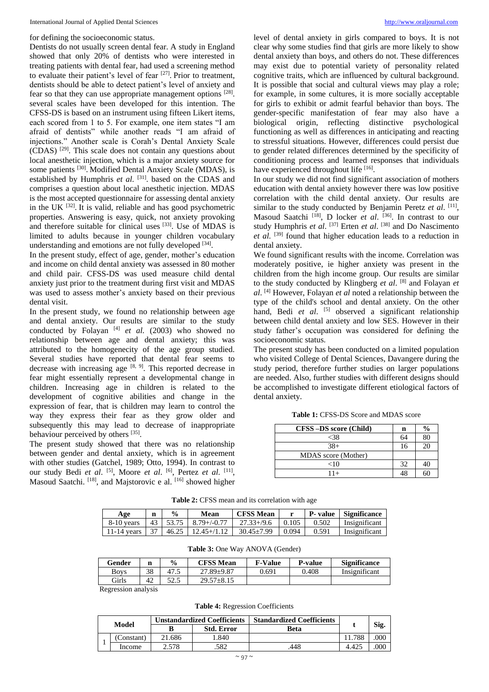# for defining the socioeconomic status.

Dentists do not usually screen dental fear. A study in England showed that only 20% of dentists who were interested in treating patients with dental fear, had used a screening method to evaluate their patient's level of fear  $[27]$ . Prior to treatment, dentists should be able to detect patient's level of anxiety and fear so that they can use appropriate management options [28]. several scales have been developed for this intention. The CFSS-DS is based on an instrument using fifteen Likert items, each scored from 1 to 5. For example, one item states "I am afraid of dentists" while another reads "I am afraid of injections." Another scale is Corah's Dental Anxiety Scale (CDAS) [29] . This scale does not contain any questions about local anesthetic injection, which is a major anxiety source for some patients <a>[30]</a>. Modified Dental Anxiety Scale (MDAS), is established by Humphris *et al.* <sup>[31]</sup>. based on the CDAS and comprises a question about local anesthetic injection. MDAS is the most accepted questionnaire for assessing dental anxiety in the UK  $^{[32]}$ . It is valid, reliable and has good psychometric properties. Answering is easy, quick, not anxiety provoking and therefore suitable for clinical uses [33] . Use of MDAS is limited to adults because in younger children vocabulary understanding and emotions are not fully developed [34].

In the present study, effect of age, gender, mother's education and income on child dental anxiety was assessed in 80 mother and child pair. CFSS-DS was used measure child dental anxiety just prior to the treatment during first visit and MDAS was used to assess mother's anxiety based on their previous dental visit.

In the present study, we found no relationship between age and dental anxiety. Our results are similar to the study conducted by Folayan  $[4]$  *et al.* (2003) who showed no relationship between age and dental anxiety; this was attributed to the homogenecity of the age group studied. Several studies have reported that dental fear seems to decrease with increasing age  $[8, 9]$ . This reported decrease in fear might essentially represent a developmental change in children. Increasing age in children is related to the development of cognitive abilities and change in the expression of fear, that is children may learn to control the way they express their fear as they grow older and subsequently this may lead to decrease of inappropriate behaviour perceived by others [35].

The present study showed that there was no relationship between gender and dental anxiety, which is in agreement with other studies (Gatchel, 1989; Otto, 1994). In contrast to our study Bedi *et al.* <sup>[5]</sup>, Moore *et al.* <sup>[6]</sup>, Pertez *et al.* <sup>[11]</sup>, Masoud Saatchi. <sup>[18]</sup>, and Majstorovic e al. <sup>[16]</sup> showed higher level of dental anxiety in girls compared to boys. It is not clear why some studies find that girls are more likely to show dental anxiety than boys, and others do not. These differences may exist due to potential variety of personality related cognitive traits, which are influenced by cultural background. It is possible that social and cultural views may play a role; for example, in some cultures, it is more socially acceptable for girls to exhibit or admit fearful behavior than boys. The gender-specific manifestation of fear may also have a biological origin, reflecting distinctive psychological functioning as well as differences in anticipating and reacting to stressful situations. However, differences could persist due to gender related differences determined by the specificity of conditioning process and learned responses that individuals have experienced throughout life [16].

In our study we did not find significant association of mothers education with dental anxiety however there was low positive correlation with the child dental anxiety. Our results are similar to the study conducted by Benjamin Peretz et al. [11], Masoud Saatchi <sup>[18]</sup>, D locker *et al.* <sup>[36]</sup>. In contrast to our study Humphris et al. <sup>[37]</sup> Erten et al. <sup>[38]</sup> and Do Nascimento et al. <sup>[39]</sup> found that higher education leads to a reduction in dental anxiety.

We found significant results with the income. Correlation was moderately positive, ie higher anxiety was present in the children from the high income group. Our results are similar to the study conducted by Klingberg *et al*. [8] and Folayan *et al*. [4] However, Folayan *et al* noted a relationship between the type of the child's school and dental anxiety. On the other hand, Bedi et al. <sup>[5]</sup> observed a significant relationship between child dental anxiety and low SES. However in their study father's occupation was considered for defining the socioeconomic status.

The present study has been conducted on a limited population who visited College of Dental Sciences, Davangere during the study period, therefore further studies on larger populations are needed. Also, further studies with different designs should be accomplished to investigate different etiological factors of dental anxiety.

**Table 1:** CFSS-DS Score and MDAS score

| CFSS-DS score (Child) | n  | $\frac{6}{9}$ |
|-----------------------|----|---------------|
| <38                   | 64 |               |
| $38+$                 | 16 |               |
| MDAS score (Mother)   |    |               |
| ${<}10$               | 32 |               |
| $11+$                 |    |               |

**Table 2:** CFSS mean and its correlation with age

| Age        | n | $\frac{0}{0}$ | Mean | <b>CFSS Mean</b>                                                    |  | P-value Significance |
|------------|---|---------------|------|---------------------------------------------------------------------|--|----------------------|
| 8-10 vears |   |               |      | $\mid$ 43   53.75   8.79+/-0.77   27.33+/9.6   0.105   0.502        |  | <b>Insignificant</b> |
|            |   |               |      | 11-14 years   37   46.25   12.45+/1.12   30.45±7.99   0.094   0.591 |  | Insignificant        |

| Table 3: One Way ANOVA (Gender) |  |  |  |
|---------------------------------|--|--|--|
|---------------------------------|--|--|--|

| Gender | n  | $\frac{6}{9}$ | <b>CFSS Mean</b> | <b>F-Value</b> | <b>P-value</b> | <b>Significance</b> |
|--------|----|---------------|------------------|----------------|----------------|---------------------|
| Bovs   | 38 | 47.           | 27.89±9.87       | 0.691          | 0.408          | Insignificant       |
| Girls  | 42 | 50E<br>ر ب    | 29.57±8.15       |                |                |                     |

Regression analysis

**Table 4:** Regression Coefficients

| Model |            | <b>Unstandardized Coefficients</b> |                   | <b>Standardized Coefficients</b> |                |      |
|-------|------------|------------------------------------|-------------------|----------------------------------|----------------|------|
|       |            |                                    | <b>Std. Error</b> | Beta                             |                | Sig. |
|       | (Constant) | 21.686                             | .840              |                                  | 11.788         | 000  |
|       | Income     | 578                                | .582              | 448                              | $4.42^{\circ}$ | 000  |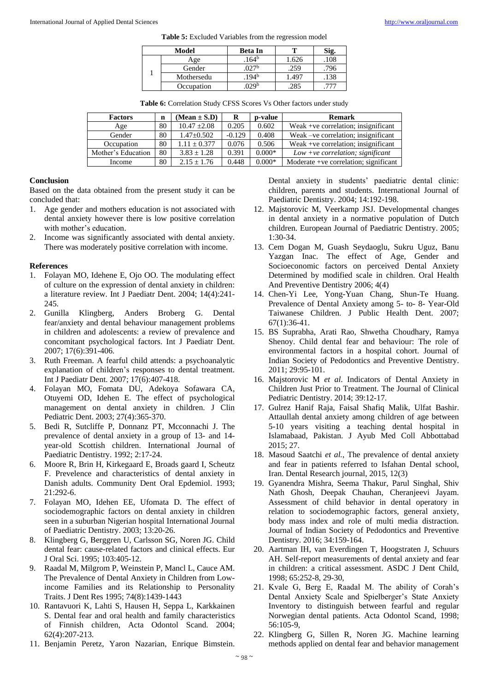|  |  | <b>Table 5:</b> Excluded Variables from the regression model |
|--|--|--------------------------------------------------------------|
|--|--|--------------------------------------------------------------|

| Model |            | Beta In          |      | Sig. |  |
|-------|------------|------------------|------|------|--|
|       | Age        | $164^{b}$        | .626 | 108  |  |
|       | Gender     | 177b             | .259 | 796  |  |
|       | Mothersedu | 194 <sup>b</sup> | .497 | .138 |  |
|       | Occupation | nap              | .285 |      |  |

Table 6: Correlation Study CFSS Scores Vs Other factors under study

| <b>Factors</b>     | n  | $(Mean \pm S.D)$ | R        | p-value  | <b>Remark</b>                         |
|--------------------|----|------------------|----------|----------|---------------------------------------|
| Age                | 80 | $10.47 \pm 2.08$ | 0.205    | 0.602    | Weak +ve correlation; insignificant   |
| Gender             | 80 | $1.47 \pm 0.502$ | $-0.129$ | 0.408    | Weak –ve correlation; insignificant   |
| Occupation         | 80 | $1.11 + 0.377$   | 0.076    | 0.506    | Weak +ve correlation; insignificant   |
| Mother's Education | 80 | $3.83 + 1.28$    | 0.391    | $0.000*$ | $Low + ve correlation$ ; significant  |
| Income             | 80 | $2.15 + 1.76$    | 0.448    | $0.000*$ | Moderate +ve correlation; significant |

# **Conclusion**

Based on the data obtained from the present study it can be concluded that:

- 1. Age gender and mothers education is not associated with dental anxiety however there is low positive correlation with mother's education.
- 2. Income was significantly associated with dental anxiety. There was moderately positive correlation with income.

# **References**

- 1. Folayan MO, Idehene E, Ojo OO. The modulating effect of culture on the expression of dental anxiety in children: a literature review. Int J Paediatr Dent. 2004; 14(4):241- 245.
- 2. Gunilla Klingberg, Anders Broberg G. Dental fear/anxiety and dental behaviour management problems in children and adolescents: a review of prevalence and concomitant psychological factors. Int J Paediatr Dent. 2007; 17(6):391-406.
- 3. Ruth Freeman. A fearful child attends: a psychoanalytic explanation of children's responses to dental treatment. Int J Paediatr Dent. 2007; 17(6):407-418.
- 4. Folayan MO, Fomata DU, Adekoya Sofawara CA, Otuyemi OD, Idehen E. The effect of psychological management on dental anxiety in children. J Clin Pediatric Dent. 2003; 27(4):365-370.
- 5. Bedi R, Sutcliffe P, Donnanz PT, Mcconnachi J. The prevalence of dental anxiety in a group of 13- and 14 year-old Scottish children. International Journal of Paediatric Dentistry. 1992; 2:17-24.
- 6. Moore R, Brin H, Kirkegaard E, Broads gaard I, Scheutz F. Prevelence and characteristics of dental anxiety in Danish adults. Community Dent Oral Epdemiol. 1993; 21:292-6.
- 7. Folayan MO, Idehen EE, Ufomata D. The effect of sociodemographic factors on dental anxiety in children seen in a suburban Nigerian hospital International Journal of Paediatric Dentistry. 2003; 13:20-26.
- 8. Klingberg G, Berggren U, Carlsson SG, Noren JG. Child dental fear: cause-related factors and clinical effects. Eur J Oral Sci. 1995; 103:405-12.
- 9. Raadal M, Milgrom P, Weinstein P, Mancl L, Cauce AM. The Prevalence of Dental Anxiety in Children from Lowincome Families and its Relationship to Personality Traits. J Dent Res 1995; 74(8):1439-1443
- 10. Rantavuori K, Lahti S, Hausen H, Seppa L, Karkkainen S. Dental fear and oral health and family characteristics of Finnish children, Acta Odontol Scand. 2004; 62(4):207-213.
- 11. Benjamin Peretz, Yaron Nazarian, Enrique Bimstein.

Dental anxiety in students' paediatric dental clinic: children, parents and students. International Journal of Paediatric Dentistry. 2004; 14:192-198.

- 12. Majstorovic M, Veerkamp JSJ. Developmental changes in dental anxiety in a normative population of Dutch children. European Journal of Paediatric Dentistry. 2005; 1:30-34.
- 13. Cem Dogan M, Guash Seydaoglu, Sukru Uguz, Banu Yazgan Inac. The effect of Age, Gender and Socioeconomic factors on perceived Dental Anxiety Determined by modified scale in children. Oral Health And Preventive Dentistry 2006; 4(4)
- 14. Chen-Yi Lee, Yong-Yuan Chang, Shun-Te Huang. Prevalence of Dental Anxiety among 5- to- 8- Year-Old Taiwanese Children. J Public Health Dent. 2007; 67(1):36-41.
- 15. BS Suprabha, Arati Rao, Shwetha Choudhary, Ramya Shenoy. Child dental fear and behaviour: The role of environmental factors in a hospital cohort. Journal of Indian Society of Pedodontics and Preventive Dentistry. 2011; 29:95-101.
- 16. Majstorovic M *et al*. Indicators of Dental Anxiety in Children Just Prior to Treatment. The Journal of Clinical Pediatric Dentistry. 2014; 39:12-17.
- 17. Gulrez Hanif Raja, Faisal Shafiq Malik, Ulfat Bashir. Attaullah dental anxiety among children of age between 5-10 years visiting a teaching dental hospital in Islamabaad, Pakistan. J Ayub Med Coll Abbottabad 2015; 27.
- 18. Masoud Saatchi *et al.*, The prevalence of dental anxiety and fear in patients referred to Isfahan Dental school, Iran. Dental Research journal, 2015, 12(3)
- 19. Gyanendra Mishra, Seema Thakur, Parul Singhal, Shiv Nath Ghosh, Deepak Chauhan, Cheranjeevi Jayam. Assessment of child behavior in dental operatory in relation to sociodemographic factors, general anxiety, body mass index and role of multi media distraction. Journal of Indian Society of Pedodontics and Preventive Dentistry. 2016; 34:159-164.
- 20. Aartman IH, van Everdingen T, Hoogstraten J, Schuurs AH. Self-report measurements of dental anxiety and fear in children: a critical assessment. ASDC J Dent Child, 1998; 65:252-8, 29-30,
- 21. Kvale G, Berg E, Raadal M. The ability of Corah's Dental Anxiety Scale and Spielberger's State Anxiety Inventory to distinguish between fearful and regular Norwegian dental patients. Acta Odontol Scand, 1998; 56:105-9,
- 22. Klingberg G, Sillen R, Noren JG. Machine learning methods applied on dental fear and behavior management